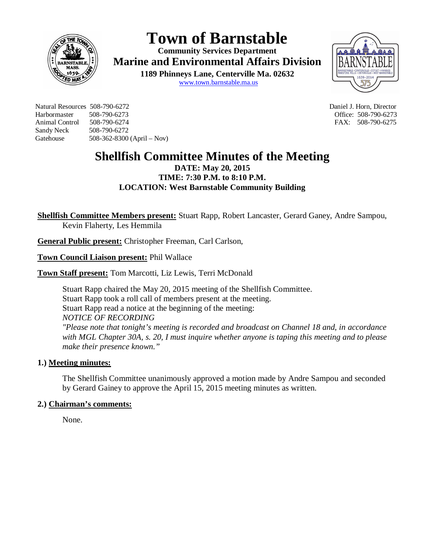

# **Town of Barnstable**

**Community Services Department Marine and Environmental Affairs Division** 

> **1189 Phinneys Lane, Centerville Ma. 02632** www.town.barnstable.ma.us



Natural Resources 508-790-6272 Daniel J. Horn, Director Harbormaster 508-790-6273 Office: 508-790-6273 Animal Control 508-790-6274 **FAX: 508-790-6275** Sandy Neck 508-790-6272 Gatehouse 508-362-8300 (April – Nov)

# **Shellfish Committee Minutes of the Meeting**

# **DATE: May 20, 2015 TIME: 7:30 P.M. to 8:10 P.M. LOCATION: West Barnstable Community Building**

**Shellfish Committee Members present:** Stuart Rapp, Robert Lancaster, Gerard Ganey, Andre Sampou, Kevin Flaherty, Les Hemmila

**General Public present:** Christopher Freeman, Carl Carlson,

**Town Council Liaison present:** Phil Wallace

**Town Staff present:** Tom Marcotti, Liz Lewis, Terri McDonald

Stuart Rapp chaired the May 20, 2015 meeting of the Shellfish Committee. Stuart Rapp took a roll call of members present at the meeting. Stuart Rapp read a notice at the beginning of the meeting: *NOTICE OF RECORDING "Please note that tonight's meeting is recorded and broadcast on Channel 18 and, in accordance with MGL Chapter 30A, s. 20, I must inquire whether anyone is taping this meeting and to please make their presence known."*

# **1.) Meeting minutes:**

The Shellfish Committee unanimously approved a motion made by Andre Sampou and seconded by Gerard Gainey to approve the April 15, 2015 meeting minutes as written.

# **2.) Chairman's comments:**

None.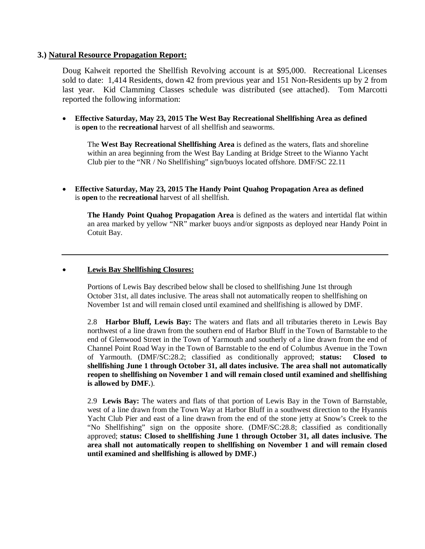#### **3.) Natural Resource Propagation Report:**

Doug Kalweit reported the Shellfish Revolving account is at \$95,000. Recreational Licenses sold to date: 1,414 Residents, down 42 from previous year and 151 Non-Residents up by 2 from last year. Kid Clamming Classes schedule was distributed (see attached). Tom Marcotti reported the following information:

 **Effective Saturday, May 23, 2015 The West Bay Recreational Shellfishing Area as defined**  is **open** to the **recreational** harvest of all shellfish and seaworms.

The **West Bay Recreational Shellfishing Area** is defined as the waters, flats and shoreline within an area beginning from the West Bay Landing at Bridge Street to the Wianno Yacht Club pier to the "NR / No Shellfishing" sign/buoys located offshore. DMF/SC 22.11

 **Effective Saturday, May 23, 2015 The Handy Point Quahog Propagation Area as defined**  is **open** to the **recreational** harvest of all shellfish.

**The Handy Point Quahog Propagation Area** is defined as the waters and intertidal flat within an area marked by yellow "NR" marker buoys and/or signposts as deployed near Handy Point in Cotuit Bay.

#### **Lewis Bay Shellfishing Closures:**

 Portions of Lewis Bay described below shall be closed to shellfishing June 1st through October 31st, all dates inclusive. The areas shall not automatically reopen to shellfishing on November 1st and will remain closed until examined and shellfishing is allowed by DMF.

2.8 **Harbor Bluff, Lewis Bay:** The waters and flats and all tributaries thereto in Lewis Bay northwest of a line drawn from the southern end of Harbor Bluff in the Town of Barnstable to the end of Glenwood Street in the Town of Yarmouth and southerly of a line drawn from the end of Channel Point Road Way in the Town of Barnstable to the end of Columbus Avenue in the Town of Yarmouth. (DMF/SC:28.2; classified as conditionally approved; **status: Closed to shellfishing June 1 through October 31, all dates inclusive. The area shall not automatically reopen to shellfishing on November 1 and will remain closed until examined and shellfishing is allowed by DMF.**).

2.9 **Lewis Bay:** The waters and flats of that portion of Lewis Bay in the Town of Barnstable, west of a line drawn from the Town Way at Harbor Bluff in a southwest direction to the Hyannis Yacht Club Pier and east of a line drawn from the end of the stone jetty at Snow's Creek to the "No Shellfishing" sign on the opposite shore. (DMF/SC:28.8; classified as conditionally approved; **status: Closed to shellfishing June 1 through October 31, all dates inclusive. The area shall not automatically reopen to shellfishing on November 1 and will remain closed until examined and shellfishing is allowed by DMF.)**